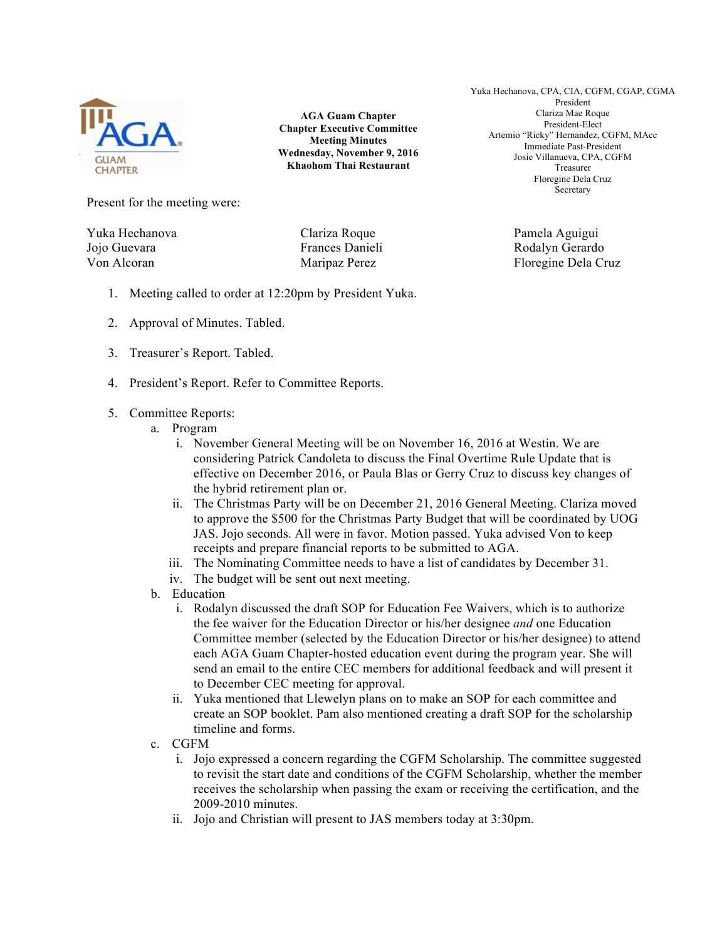

**AGA Guam Chapter Chapter Executive Committee Meeting Minutes Wednesday, November 9, 2016 Khaohom Thai Restaurant**

Yuka Hechanova, CPA, CIA, CGFM, CGAP, CGMA President Clariza Mae Roque President-Elect Artemio "Ricky" Hernandez, CGFM, MAcc Immediate Past-President Josie Villanueva, CPA, CGFM Treasurer Floregine Dela Cruz Secretary

Present for the meeting were:

Yuka Hechanova Clariza Roque Pamela Aguigui Jojo Guevara Frances Danieli Rodalyn Gerardo Von Alcoran **Maripaz Perez** Floregine Dela Cruz

- 1. Meeting called to order at 12:20pm by President Yuka.
- 2. Approval of Minutes. Tabled.
- 3. Treasurer's Report. Tabled.
- 4. President's Report. Refer to Committee Reports.
- 5. Committee Reports:
	- a. Program
		- i. November General Meeting will be on November 16, 2016 at Westin. We are considering Patrick Candoleta to discuss the Final Overtime Rule Update that is effective on December 2016, or Paula Blas or Gerry Cruz to discuss key changes of the hybrid retirement plan or.
		- ii. The Christmas Party will be on December 21, 2016 General Meeting. Clariza moved to approve the \$500 for the Christmas Party Budget that will be coordinated by UOG JAS. Jojo seconds. All were in favor. Motion passed. Yuka advised Von to keep receipts and prepare financial reports to be submitted to AGA.
		- iii. The Nominating Committee needs to have a list of candidates by December 31.
		- iv. The budget will be sent out next meeting.
	- b. Education
		- i. Rodalyn discussed the draft SOP for Education Fee Waivers, which is to authorize the fee waiver for the Education Director or his/her designee *and* one Education Committee member (selected by the Education Director or his/her designee) to attend each AGA Guam Chapter-hosted education event during the program year. She will send an email to the entire CEC members for additional feedback and will present it to December CEC meeting for approval.
		- ii. Yuka mentioned that Llewelyn plans on to make an SOP for each committee and create an SOP booklet. Pam also mentioned creating a draft SOP for the scholarship timeline and forms.
	- c. CGFM
		- i. Jojo expressed a concern regarding the CGFM Scholarship. The committee suggested to revisit the start date and conditions of the CGFM Scholarship, whether the member receives the scholarship when passing the exam or receiving the certification, and the 2009-2010 minutes.
		- ii. Jojo and Christian will present to JAS members today at 3:30pm.